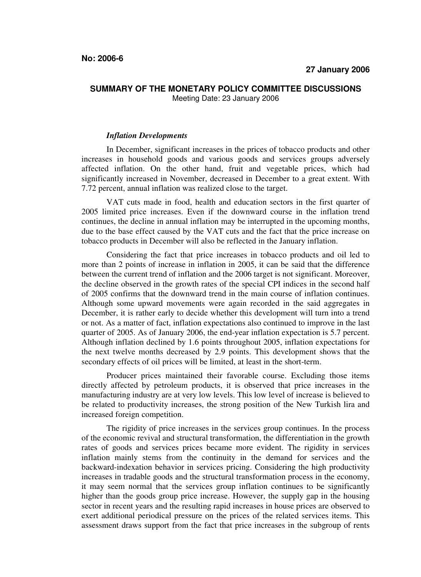## **SUMMARY OF THE MONETARY POLICY COMMITTEE DISCUSSIONS**  Meeting Date: 23 January 2006

## *Inflation Developments*

In December, significant increases in the prices of tobacco products and other increases in household goods and various goods and services groups adversely affected inflation. On the other hand, fruit and vegetable prices, which had significantly increased in November, decreased in December to a great extent. With 7.72 percent, annual inflation was realized close to the target.

VAT cuts made in food, health and education sectors in the first quarter of 2005 limited price increases. Even if the downward course in the inflation trend continues, the decline in annual inflation may be interrupted in the upcoming months, due to the base effect caused by the VAT cuts and the fact that the price increase on tobacco products in December will also be reflected in the January inflation.

Considering the fact that price increases in tobacco products and oil led to more than 2 points of increase in inflation in 2005, it can be said that the difference between the current trend of inflation and the 2006 target is not significant. Moreover, the decline observed in the growth rates of the special CPI indices in the second half of 2005 confirms that the downward trend in the main course of inflation continues. Although some upward movements were again recorded in the said aggregates in December, it is rather early to decide whether this development will turn into a trend or not. As a matter of fact, inflation expectations also continued to improve in the last quarter of 2005. As of January 2006, the end-year inflation expectation is 5.7 percent. Although inflation declined by 1.6 points throughout 2005, inflation expectations for the next twelve months decreased by 2.9 points. This development shows that the secondary effects of oil prices will be limited, at least in the short-term.

Producer prices maintained their favorable course. Excluding those items directly affected by petroleum products, it is observed that price increases in the manufacturing industry are at very low levels. This low level of increase is believed to be related to productivity increases, the strong position of the New Turkish lira and increased foreign competition.

The rigidity of price increases in the services group continues. In the process of the economic revival and structural transformation, the differentiation in the growth rates of goods and services prices became more evident. The rigidity in services inflation mainly stems from the continuity in the demand for services and the backward-indexation behavior in services pricing. Considering the high productivity increases in tradable goods and the structural transformation process in the economy, it may seem normal that the services group inflation continues to be significantly higher than the goods group price increase. However, the supply gap in the housing sector in recent years and the resulting rapid increases in house prices are observed to exert additional periodical pressure on the prices of the related services items. This assessment draws support from the fact that price increases in the subgroup of rents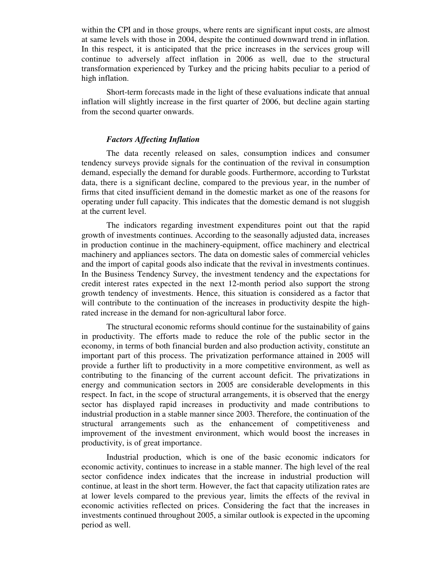within the CPI and in those groups, where rents are significant input costs, are almost at same levels with those in 2004, despite the continued downward trend in inflation. In this respect, it is anticipated that the price increases in the services group will continue to adversely affect inflation in 2006 as well, due to the structural transformation experienced by Turkey and the pricing habits peculiar to a period of high inflation.

Short-term forecasts made in the light of these evaluations indicate that annual inflation will slightly increase in the first quarter of 2006, but decline again starting from the second quarter onwards.

## *Factors Affecting Inflation*

The data recently released on sales, consumption indices and consumer tendency surveys provide signals for the continuation of the revival in consumption demand, especially the demand for durable goods. Furthermore, according to Turkstat data, there is a significant decline, compared to the previous year, in the number of firms that cited insufficient demand in the domestic market as one of the reasons for operating under full capacity. This indicates that the domestic demand is not sluggish at the current level.

The indicators regarding investment expenditures point out that the rapid growth of investments continues. According to the seasonally adjusted data, increases in production continue in the machinery-equipment, office machinery and electrical machinery and appliances sectors. The data on domestic sales of commercial vehicles and the import of capital goods also indicate that the revival in investments continues. In the Business Tendency Survey, the investment tendency and the expectations for credit interest rates expected in the next 12-month period also support the strong growth tendency of investments. Hence, this situation is considered as a factor that will contribute to the continuation of the increases in productivity despite the highrated increase in the demand for non-agricultural labor force.

The structural economic reforms should continue for the sustainability of gains in productivity. The efforts made to reduce the role of the public sector in the economy, in terms of both financial burden and also production activity, constitute an important part of this process. The privatization performance attained in 2005 will provide a further lift to productivity in a more competitive environment, as well as contributing to the financing of the current account deficit. The privatizations in energy and communication sectors in 2005 are considerable developments in this respect. In fact, in the scope of structural arrangements, it is observed that the energy sector has displayed rapid increases in productivity and made contributions to industrial production in a stable manner since 2003. Therefore, the continuation of the structural arrangements such as the enhancement of competitiveness and improvement of the investment environment, which would boost the increases in productivity, is of great importance.

Industrial production, which is one of the basic economic indicators for economic activity, continues to increase in a stable manner. The high level of the real sector confidence index indicates that the increase in industrial production will continue, at least in the short term. However, the fact that capacity utilization rates are at lower levels compared to the previous year, limits the effects of the revival in economic activities reflected on prices. Considering the fact that the increases in investments continued throughout 2005, a similar outlook is expected in the upcoming period as well.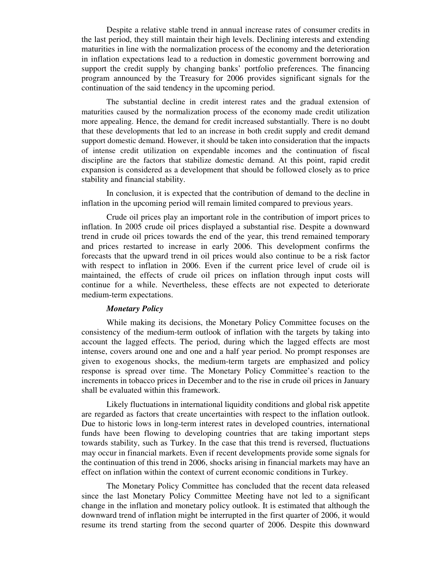Despite a relative stable trend in annual increase rates of consumer credits in the last period, they still maintain their high levels. Declining interests and extending maturities in line with the normalization process of the economy and the deterioration in inflation expectations lead to a reduction in domestic government borrowing and support the credit supply by changing banks' portfolio preferences. The financing program announced by the Treasury for 2006 provides significant signals for the continuation of the said tendency in the upcoming period.

The substantial decline in credit interest rates and the gradual extension of maturities caused by the normalization process of the economy made credit utilization more appealing. Hence, the demand for credit increased substantially. There is no doubt that these developments that led to an increase in both credit supply and credit demand support domestic demand. However, it should be taken into consideration that the impacts of intense credit utilization on expendable incomes and the continuation of fiscal discipline are the factors that stabilize domestic demand. At this point, rapid credit expansion is considered as a development that should be followed closely as to price stability and financial stability.

In conclusion, it is expected that the contribution of demand to the decline in inflation in the upcoming period will remain limited compared to previous years.

Crude oil prices play an important role in the contribution of import prices to inflation. In 2005 crude oil prices displayed a substantial rise. Despite a downward trend in crude oil prices towards the end of the year, this trend remained temporary and prices restarted to increase in early 2006. This development confirms the forecasts that the upward trend in oil prices would also continue to be a risk factor with respect to inflation in 2006. Even if the current price level of crude oil is maintained, the effects of crude oil prices on inflation through input costs will continue for a while. Nevertheless, these effects are not expected to deteriorate medium-term expectations.

## *Monetary Policy*

While making its decisions, the Monetary Policy Committee focuses on the consistency of the medium-term outlook of inflation with the targets by taking into account the lagged effects. The period, during which the lagged effects are most intense, covers around one and one and a half year period. No prompt responses are given to exogenous shocks, the medium-term targets are emphasized and policy response is spread over time. The Monetary Policy Committee's reaction to the increments in tobacco prices in December and to the rise in crude oil prices in January shall be evaluated within this framework.

Likely fluctuations in international liquidity conditions and global risk appetite are regarded as factors that create uncertainties with respect to the inflation outlook. Due to historic lows in long-term interest rates in developed countries, international funds have been flowing to developing countries that are taking important steps towards stability, such as Turkey. In the case that this trend is reversed, fluctuations may occur in financial markets. Even if recent developments provide some signals for the continuation of this trend in 2006, shocks arising in financial markets may have an effect on inflation within the context of current economic conditions in Turkey.

The Monetary Policy Committee has concluded that the recent data released since the last Monetary Policy Committee Meeting have not led to a significant change in the inflation and monetary policy outlook. It is estimated that although the downward trend of inflation might be interrupted in the first quarter of 2006, it would resume its trend starting from the second quarter of 2006. Despite this downward